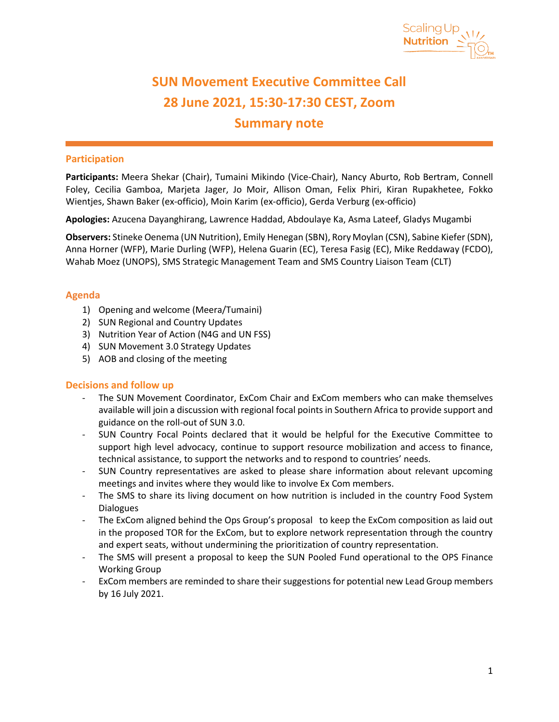

# **SUN Movement Executive Committee Call 28 June 2021, 15:30-17:30 CEST, Zoom Summary note**

# **Participation**

**Participants:** Meera Shekar (Chair), Tumaini Mikindo (Vice-Chair), Nancy Aburto, Rob Bertram, Connell Foley, Cecilia Gamboa, Marjeta Jager, Jo Moir, Allison Oman, Felix Phiri, Kiran Rupakhetee, Fokko Wientjes, Shawn Baker (ex-officio), Moin Karim (ex-officio), Gerda Verburg (ex-officio)

**Apologies:** Azucena Dayanghirang, Lawrence Haddad, Abdoulaye Ka, Asma Lateef, Gladys Mugambi

**Observers:** Stineke Oenema (UN Nutrition), Emily Henegan (SBN), Rory Moylan (CSN), Sabine Kiefer (SDN), Anna Horner (WFP), Marie Durling (WFP), Helena Guarin (EC), Teresa Fasig (EC), Mike Reddaway (FCDO), Wahab Moez (UNOPS), SMS Strategic Management Team and SMS Country Liaison Team (CLT)

# **Agenda**

- 1) Opening and welcome (Meera/Tumaini)
- 2) SUN Regional and Country Updates
- 3) Nutrition Year of Action (N4G and UN FSS)
- 4) SUN Movement 3.0 Strategy Updates
- 5) AOB and closing of the meeting

## **Decisions and follow up**

- The SUN Movement Coordinator, ExCom Chair and ExCom members who can make themselves available will join a discussion with regional focal points in Southern Africa to provide support and guidance on the roll-out of SUN 3.0.
- SUN Country Focal Points declared that it would be helpful for the Executive Committee to support high level advocacy, continue to support resource mobilization and access to finance, technical assistance, to support the networks and to respond to countries' needs.
- SUN Country representatives are asked to please share information about relevant upcoming meetings and invites where they would like to involve Ex Com members.
- The SMS to share its living document on how nutrition is included in the country Food System **Dialogues**
- The ExCom aligned behind the Ops Group's proposal to keep the ExCom composition as laid out in the proposed TOR for the ExCom, but to explore network representation through the country and expert seats, without undermining the prioritization of country representation.
- The SMS will present a proposal to keep the SUN Pooled Fund operational to the OPS Finance Working Group
- ExCom members are reminded to share their suggestions for potential new Lead Group members by 16 July 2021.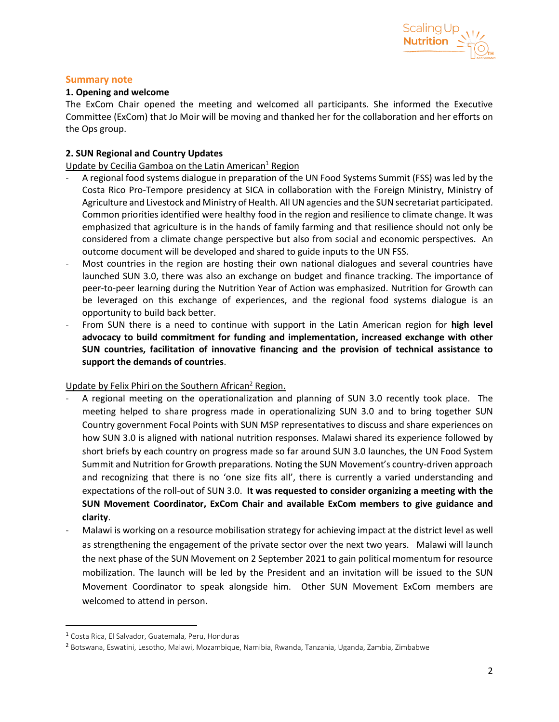

#### **Summary note**

#### **1. Opening and welcome**

The ExCom Chair opened the meeting and welcomed all participants. She informed the Executive Committee (ExCom) that Jo Moir will be moving and thanked her for the collaboration and her efforts on the Ops group.

## **2. SUN Regional and Country Updates**

Update by Cecilia Gamboa on the Latin American<sup>1</sup> Region

- A regional food systems dialogue in preparation of the UN Food Systems Summit (FSS) was led by the Costa Rico Pro-Tempore presidency at SICA in collaboration with the Foreign Ministry, Ministry of Agriculture and Livestock and Ministry of Health. All UN agencies and the SUN secretariat participated. Common priorities identified were healthy food in the region and resilience to climate change. It was emphasized that agriculture is in the hands of family farming and that resilience should not only be considered from a climate change perspective but also from social and economic perspectives. An outcome document will be developed and shared to guide inputs to the UN FSS.
- Most countries in the region are hosting their own national dialogues and several countries have launched SUN 3.0, there was also an exchange on budget and finance tracking. The importance of peer-to-peer learning during the Nutrition Year of Action was emphasized. Nutrition for Growth can be leveraged on this exchange of experiences, and the regional food systems dialogue is an opportunity to build back better.
- From SUN there is a need to continue with support in the Latin American region for **high level advocacy to build commitment for funding and implementation, increased exchange with other SUN countries, facilitation of innovative financing and the provision of technical assistance to support the demands of countries**.

Update by Felix Phiri on the Southern African<sup>2</sup> Region.

- A regional meeting on the operationalization and planning of SUN 3.0 recently took place. The meeting helped to share progress made in operationalizing SUN 3.0 and to bring together SUN Country government Focal Points with SUN MSP representatives to discuss and share experiences on how SUN 3.0 is aligned with national nutrition responses. Malawi shared its experience followed by short briefs by each country on progress made so far around SUN 3.0 launches, the UN Food System Summit and Nutrition for Growth preparations. Noting the SUN Movement's country-driven approach and recognizing that there is no 'one size fits all', there is currently a varied understanding and expectations of the roll-out of SUN 3.0. **It was requested to consider organizing a meeting with the SUN Movement Coordinator, ExCom Chair and available ExCom members to give guidance and clarity**.
- Malawi is working on a resource mobilisation strategy for achieving impact at the district level as well as strengthening the engagement of the private sector over the next two years. Malawi will launch the next phase of the SUN Movement on 2 September 2021 to gain political momentum for resource mobilization. The launch will be led by the President and an invitation will be issued to the SUN Movement Coordinator to speak alongside him. Other SUN Movement ExCom members are welcomed to attend in person.

<sup>1</sup> Costa Rica, El Salvador, Guatemala, Peru, Honduras

<sup>2</sup> Botswana, Eswatini, Lesotho, Malawi, Mozambique, Namibia, Rwanda, Tanzania, Uganda, Zambia, Zimbabwe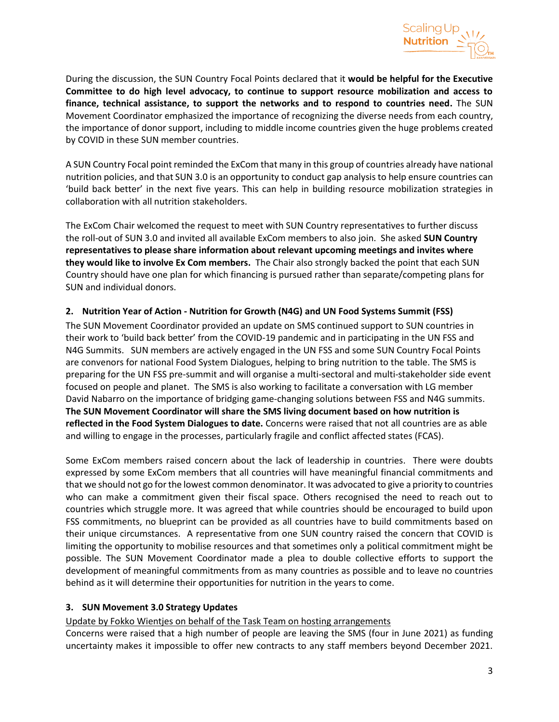

During the discussion, the SUN Country Focal Points declared that it **would be helpful for the Executive Committee to do high level advocacy, to continue to support resource mobilization and access to finance, technical assistance, to support the networks and to respond to countries need.** The SUN Movement Coordinator emphasized the importance of recognizing the diverse needs from each country, the importance of donor support, including to middle income countries given the huge problems created by COVID in these SUN member countries.

A SUN Country Focal point reminded the ExCom that many in this group of countries already have national nutrition policies, and that SUN 3.0 is an opportunity to conduct gap analysis to help ensure countries can 'build back better' in the next five years. This can help in building resource mobilization strategies in collaboration with all nutrition stakeholders.

The ExCom Chair welcomed the request to meet with SUN Country representatives to further discuss the roll-out of SUN 3.0 and invited all available ExCom members to also join. She asked **SUN Country representatives to please share information about relevant upcoming meetings and invites where they would like to involve Ex Com members.** The Chair also strongly backed the point that each SUN Country should have one plan for which financing is pursued rather than separate/competing plans for SUN and individual donors.

# **2. Nutrition Year of Action - Nutrition for Growth (N4G) and UN Food Systems Summit (FSS)**

The SUN Movement Coordinator provided an update on SMS continued support to SUN countries in their work to 'build back better' from the COVID-19 pandemic and in participating in the UN FSS and N4G Summits. SUN members are actively engaged in the UN FSS and some SUN Country Focal Points are convenors for national Food System Dialogues, helping to bring nutrition to the table. The SMS is preparing for the UN FSS pre-summit and will organise a multi-sectoral and multi-stakeholder side event focused on people and planet. The SMS is also working to facilitate a conversation with LG member David Nabarro on the importance of bridging game-changing solutions between FSS and N4G summits. **The SUN Movement Coordinator will share the SMS living document based on how nutrition is reflected in the Food System Dialogues to date.** Concerns were raised that not all countries are as able and willing to engage in the processes, particularly fragile and conflict affected states (FCAS).

Some ExCom members raised concern about the lack of leadership in countries. There were doubts expressed by some ExCom members that all countries will have meaningful financial commitments and that we should not go for the lowest common denominator. It was advocated to give a priority to countries who can make a commitment given their fiscal space. Others recognised the need to reach out to countries which struggle more. It was agreed that while countries should be encouraged to build upon FSS commitments, no blueprint can be provided as all countries have to build commitments based on their unique circumstances. A representative from one SUN country raised the concern that COVID is limiting the opportunity to mobilise resources and that sometimes only a political commitment might be possible. The SUN Movement Coordinator made a plea to double collective efforts to support the development of meaningful commitments from as many countries as possible and to leave no countries behind as it will determine their opportunities for nutrition in the years to come.

## **3. SUN Movement 3.0 Strategy Updates**

## Update by Fokko Wientjes on behalf of the Task Team on hosting arrangements

Concerns were raised that a high number of people are leaving the SMS (four in June 2021) as funding uncertainty makes it impossible to offer new contracts to any staff members beyond December 2021.